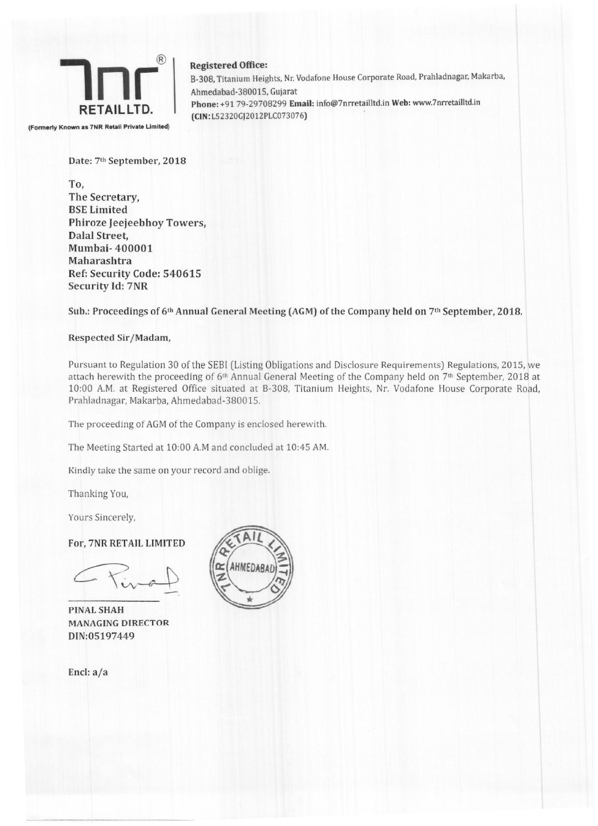

Registered Office: B-30B. Titanium Heights. Nr. Vodafone House Corporate Road, Prahladnagar, Makarba, Ahmedabad-3B0015. Gujarat Phone: +91 79-29708299 Email: info@7nrretailltd.in Web: www.7nrretailltd.in (CIN:L52320GJ2012PLC073076)

Date: 7th September, 2018

To, The Secretary, BSE Limited Phiroze Jeejeebhoy Towers, Dalal Street, Mumbai- 400001 Maharashtra Ref: Security Code: 540615 Security Id: 7NR

Sub.: Proceedings of 6th Annual General Meeting (AGM) of the Company held on 7th September, 201B.

## Respected Sir/Madam,

Pursuant to Regulation 30 of the SEBI (Listing Obligations and Disclosure Requirements) Regulations. 2015. we attach herewith the proceeding of 6<sup>th</sup> Annual General Meeting of the Company held on 7<sup>th</sup> September, 2018 at 10:00 A.M. at Registered Office situated at 8-308. Titanium Heights. Nr. *Vodafone* House Corporate Road. Prahladnagar, Makarba, Ahmedabad-380015.

The proceeding of AGM of the Company is enclosed herewith.

The Meeting Started at 10:00 A.M and concluded at 10:45 AM.

Kindly take the same on your record and oblige.

Thanking You.

Yours Sincerely,

For, 7NR RETAIL LIMITED

PINAL SHAH MANAGING DIRECTOR DIN:05197449

End: a/a

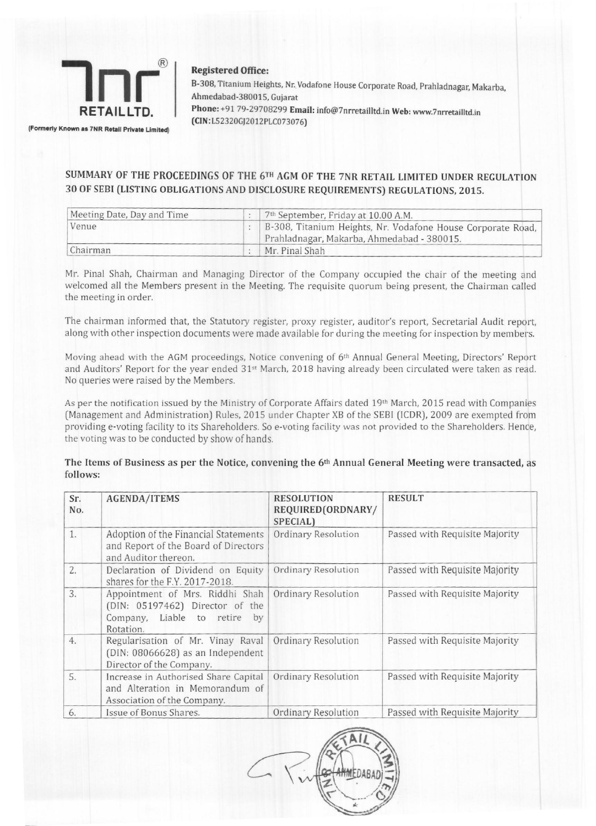

Registered Office:

(CIN: LS *2320Gj20* 12 PLC07307 6)

8-308, Titanium Heights, Nr. Vodafone House Corporate Road, Prahladnagar, Makarba, Ahmedabad-38001S, Gujarat Phone: +91 79-29708299 Email: info@7nrretailltd.in Web: www.7nrretailltd.in

(Formerly Known as 7NR Retail Private Limited)

## SUMMARY OF THE PROCEEDINGS OF THE 6TH AGM OF THE 7NR RETAIL LIMITED UNDER REGULATION 30 OF SEBI (LISTING OBLIGATIONS AND DISCLOSURE REQUIREMENTS) REGULATIONS, 2015.

| Meeting Date, Day and Time |  | 7 <sup>th</sup> September, Friday at 10.00 A.M.                                                           |  |
|----------------------------|--|-----------------------------------------------------------------------------------------------------------|--|
| Venue                      |  | B-308, Titanium Heights, Nr. Vodafone House Corporate Road,<br>Prahladnagar, Makarba, Ahmedabad - 380015. |  |
| Chairman                   |  | Mr. Pinal Shah                                                                                            |  |

Mr. Pinal Shah, Chairman and Managing Director of the Company occupied the chair of the meeting and welcomed all the Members present in the Meeting. The requisite quorum being present, the Chairman called the meeting in order.

The chairman informed that. the Statutory register, proxy register, auditor's report, Secretarial Audit report, along with other inspection documents were made available for during the meeting for inspection by members.

Moving ahead with the AGM proceedings, Notice convening of 6th Annual General Meeting, Directors' Report and Auditors' Report for the year ended 31st March, 2018 having already been circulated were taken as read. No queries were raised by the Members.

As per the notification issued by the Ministry of Corporate Affairs dated 19th March, 2015 read with Companies (Management and Administration) Rules, 2015 under Chapter XB of the SEBI (ICDR), 2009 are exempted from providing e-voting facility to its Shareholders. So *e-voting* facility was not provided to the Shareholders. Hence, the voting was to be conducted by show of hands.

## The Items of Business as per the Notice, convening the 6th Annual General Meeting were transacted, as follows:

| Sr.<br>No. | <b>AGENDA/ITEMS</b>                                                                                                | <b>RESOLUTION</b><br>REQUIRED(ORDNARY/<br>SPECIAL) | <b>RESULT</b>                  |
|------------|--------------------------------------------------------------------------------------------------------------------|----------------------------------------------------|--------------------------------|
| 1.         | Adoption of the Financial Statements<br>and Report of the Board of Directors<br>and Auditor thereon.               | Ordinary Resolution                                | Passed with Requisite Majority |
| 2.         | Declaration of Dividend on Equity<br>shares for the F.Y. 2017-2018.                                                | Ordinary Resolution                                | Passed with Requisite Majority |
| 3.         | Appointment of Mrs. Riddhi Shah<br>(DIN: 05197462) Director of the<br>Company, Liable to retire<br>by<br>Rotation. | <b>Ordinary Resolution</b>                         | Passed with Requisite Majority |
| 4.         | Regularisation of Mr. Vinay Raval<br>(DIN: 08066628) as an Independent<br>Director of the Company.                 | Ordinary Resolution                                | Passed with Requisite Majority |
| 5.         | Increase in Authorised Share Capital<br>and Alteration in Memorandum of<br>Association of the Company.             | <b>Ordinary Resolution</b>                         | Passed with Requisite Majority |
| 6.         | Issue of Bonus Shares.                                                                                             | Ordinary Resolution                                | Passed with Requisite Majority |